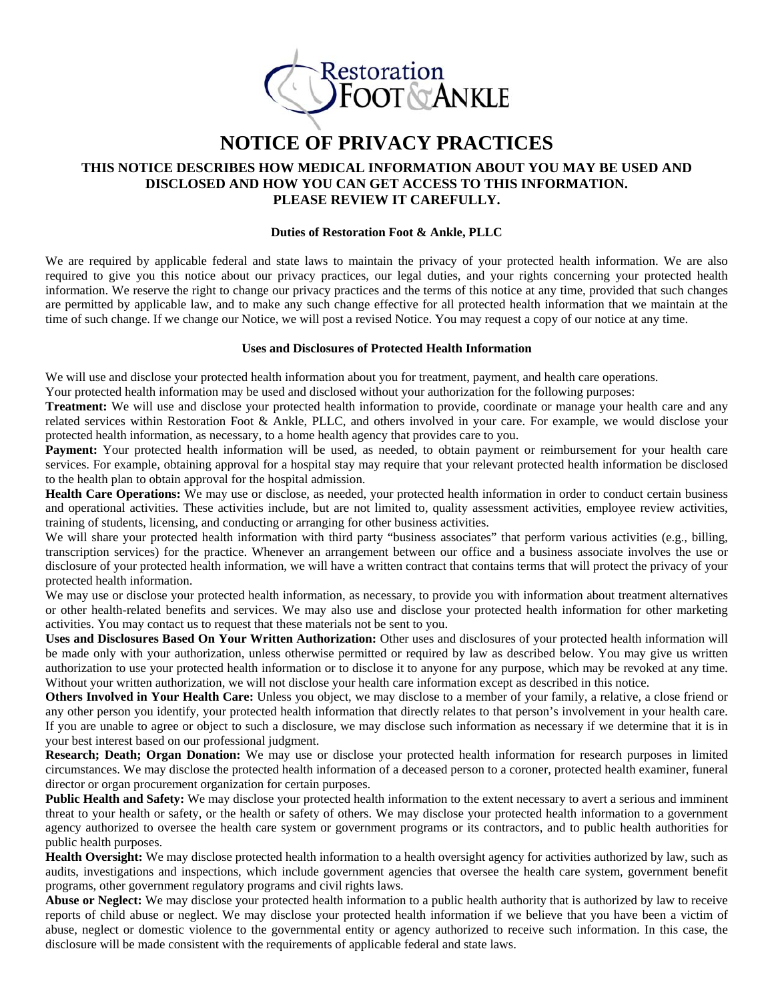

# **NOTICE OF PRIVACY PRACTICES**

## **THIS NOTICE DESCRIBES HOW MEDICAL INFORMATION ABOUT YOU MAY BE USED AND DISCLOSED AND HOW YOU CAN GET ACCESS TO THIS INFORMATION. PLEASE REVIEW IT CAREFULLY.**

#### **Duties of Restoration Foot & Ankle, PLLC**

We are required by applicable federal and state laws to maintain the privacy of your protected health information. We are also required to give you this notice about our privacy practices, our legal duties, and your rights concerning your protected health information. We reserve the right to change our privacy practices and the terms of this notice at any time, provided that such changes are permitted by applicable law, and to make any such change effective for all protected health information that we maintain at the time of such change. If we change our Notice, we will post a revised Notice. You may request a copy of our notice at any time.

#### **Uses and Disclosures of Protected Health Information**

We will use and disclose your protected health information about you for treatment, payment, and health care operations.

Your protected health information may be used and disclosed without your authorization for the following purposes:

**Treatment:** We will use and disclose your protected health information to provide, coordinate or manage your health care and any related services within Restoration Foot & Ankle, PLLC, and others involved in your care. For example, we would disclose your protected health information, as necessary, to a home health agency that provides care to you.

**Payment:** Your protected health information will be used, as needed, to obtain payment or reimbursement for your health care services. For example, obtaining approval for a hospital stay may require that your relevant protected health information be disclosed to the health plan to obtain approval for the hospital admission.

**Health Care Operations:** We may use or disclose, as needed, your protected health information in order to conduct certain business and operational activities. These activities include, but are not limited to, quality assessment activities, employee review activities, training of students, licensing, and conducting or arranging for other business activities.

We will share your protected health information with third party "business associates" that perform various activities (e.g., billing, transcription services) for the practice. Whenever an arrangement between our office and a business associate involves the use or disclosure of your protected health information, we will have a written contract that contains terms that will protect the privacy of your protected health information.

We may use or disclose your protected health information, as necessary, to provide you with information about treatment alternatives or other health-related benefits and services. We may also use and disclose your protected health information for other marketing activities. You may contact us to request that these materials not be sent to you.

**Uses and Disclosures Based On Your Written Authorization:** Other uses and disclosures of your protected health information will be made only with your authorization, unless otherwise permitted or required by law as described below. You may give us written authorization to use your protected health information or to disclose it to anyone for any purpose, which may be revoked at any time. Without your written authorization, we will not disclose your health care information except as described in this notice.

**Others Involved in Your Health Care:** Unless you object, we may disclose to a member of your family, a relative, a close friend or any other person you identify, your protected health information that directly relates to that person's involvement in your health care. If you are unable to agree or object to such a disclosure, we may disclose such information as necessary if we determine that it is in your best interest based on our professional judgment.

**Research; Death; Organ Donation:** We may use or disclose your protected health information for research purposes in limited circumstances. We may disclose the protected health information of a deceased person to a coroner, protected health examiner, funeral director or organ procurement organization for certain purposes.

**Public Health and Safety:** We may disclose your protected health information to the extent necessary to avert a serious and imminent threat to your health or safety, or the health or safety of others. We may disclose your protected health information to a government agency authorized to oversee the health care system or government programs or its contractors, and to public health authorities for public health purposes.

**Health Oversight:** We may disclose protected health information to a health oversight agency for activities authorized by law, such as audits, investigations and inspections, which include government agencies that oversee the health care system, government benefit programs, other government regulatory programs and civil rights laws.

**Abuse or Neglect:** We may disclose your protected health information to a public health authority that is authorized by law to receive reports of child abuse or neglect. We may disclose your protected health information if we believe that you have been a victim of abuse, neglect or domestic violence to the governmental entity or agency authorized to receive such information. In this case, the disclosure will be made consistent with the requirements of applicable federal and state laws.